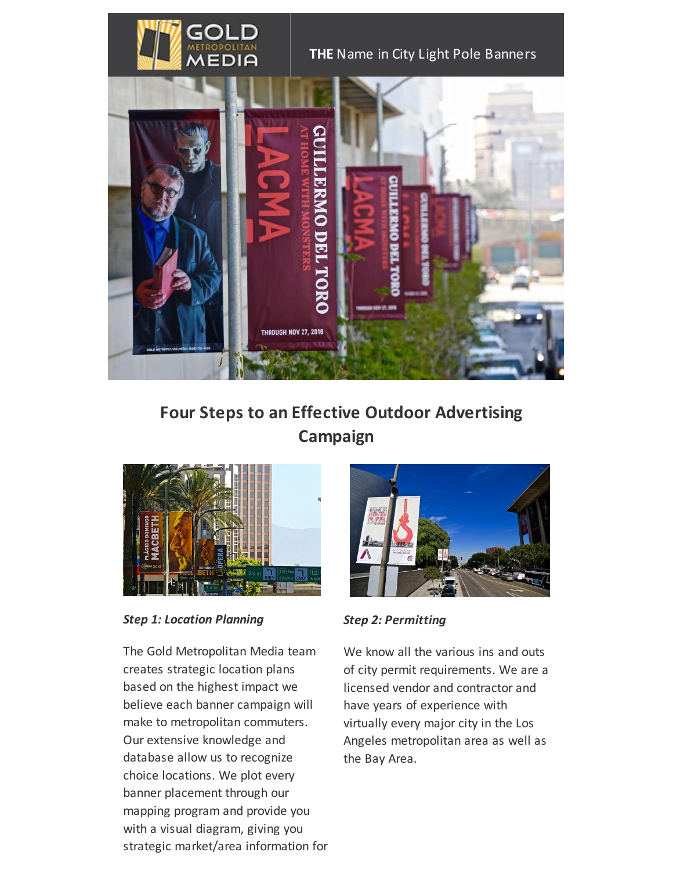

#### **THE** Name in City Light Pole Banners



# **Four Steps to an Effective Outdoor Advertising Campaign**



*Step 1: Location Planning*

The Gold Metropolitan Media team creates strategic location plans based on the highest impact we believe each banner campaign will make to metropolitan commuters. Our extensive knowledge and database allow us to recognize choice locations. We plot every banner placement through our mapping program and provide you with a visual diagram, giving you strategic market/area information for



*Step 2: Permitting*

We know all the various ins and outs of city permit requirements. We are a licensed vendor and contractor and have years of experience with virtually every major city in the Los Angeles metropolitan area as well as the Bay Area.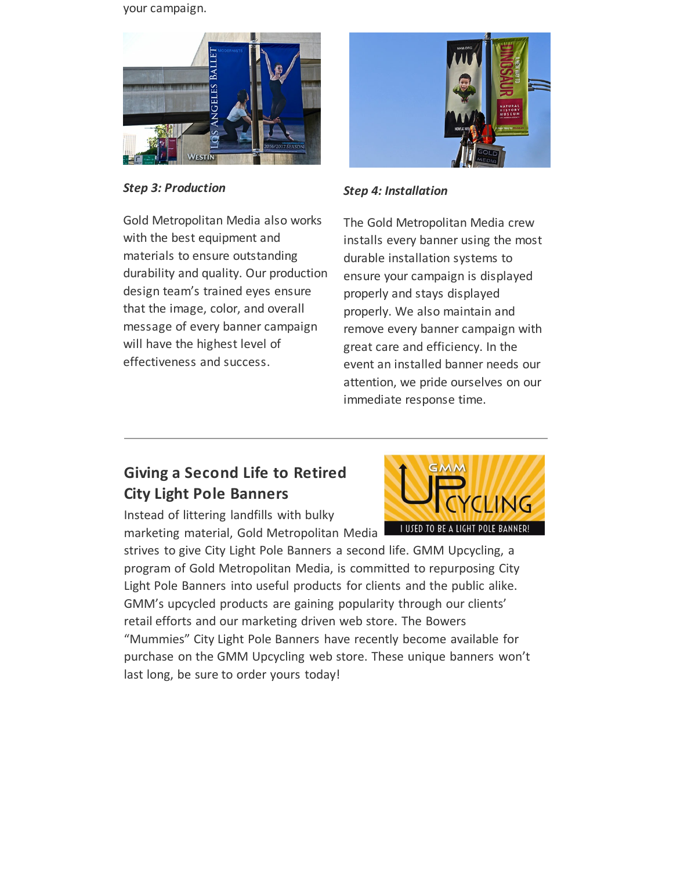your campaign.



*Step 3: Production*



*Step 4: Installation*

Gold Metropolitan Media also works with the best equipment and materials to ensure outstanding durability and quality. Our production design team's trained eyes ensure that the image, color, and overall message of every banner campaign will have the highest level of effectiveness and success.

The Gold Metropolitan Media crew installs every banner using the most durable installation systems to ensure your campaign is displayed properly and stays displayed properly. We also maintain and remove every banner campaign with great care and efficiency. In the event an installed banner needs our attention, we pride ourselves on our immediate response time.

## **Giving a Second Life to Retired City Light Pole Banners**

Instead of littering landfills with bulky marketing material, Gold Metropolitan Media

strives to give City Light Pole Banners a second life. GMM Upcycling, a program of Gold Metropolitan Media, is committed to repurposing City Light Pole Banners into useful products for clients and the public alike. GMM's upcycled products are gaining popularity through our clients' retail efforts and our marketing driven web store. The Bowers "Mummies" City Light Pole Banners have recently become available for purchase on the GMM Upcycling web store. These unique banners won't last long, be sure to order yours today!

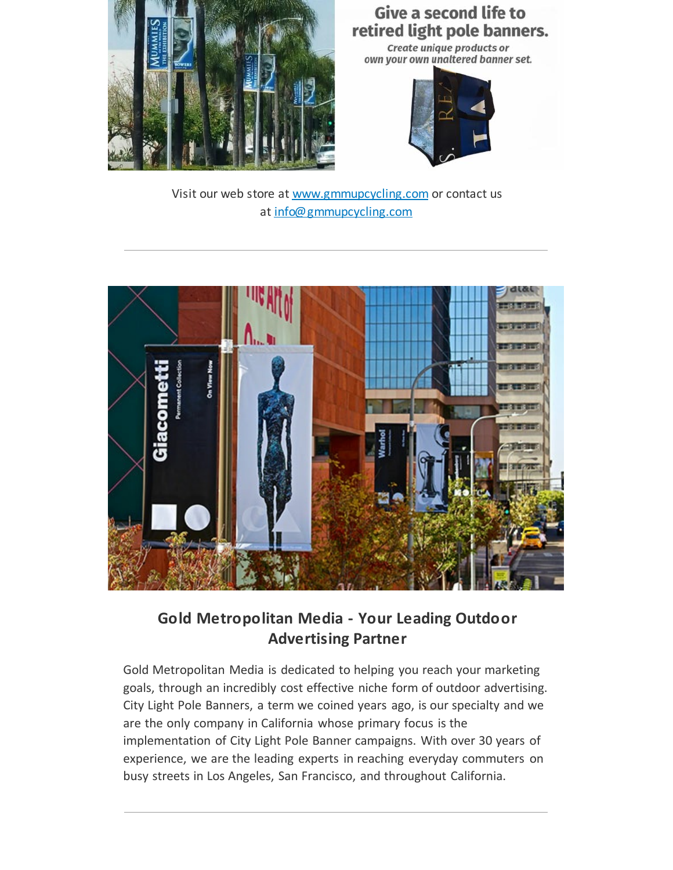

## **Give a second life to** retired light pole banners.

Create unique products or own your own unaltered banner set.



Visit our web store at [www.gmmupcycling.com](http://www.gmmupcycling.com/) or contact us at [info@gmmupcycling.com](mailto:info@gmmupcycling.com)



**Gold Metropolitan Media - Your Leading Outdoor Advertising Partner**

Gold Metropolitan Media is dedicated to helping you reach your marketing goals, through an incredibly cost effective niche form of outdoor advertising. City Light Pole Banners, a term we coined years ago, is our specialty and we are the only company in California whose primary focus is the implementation of City Light Pole Banner campaigns. With over 30 years of experience, we are the leading experts in reaching everyday commuters on busy streets in Los Angeles, San Francisco, and throughout California.